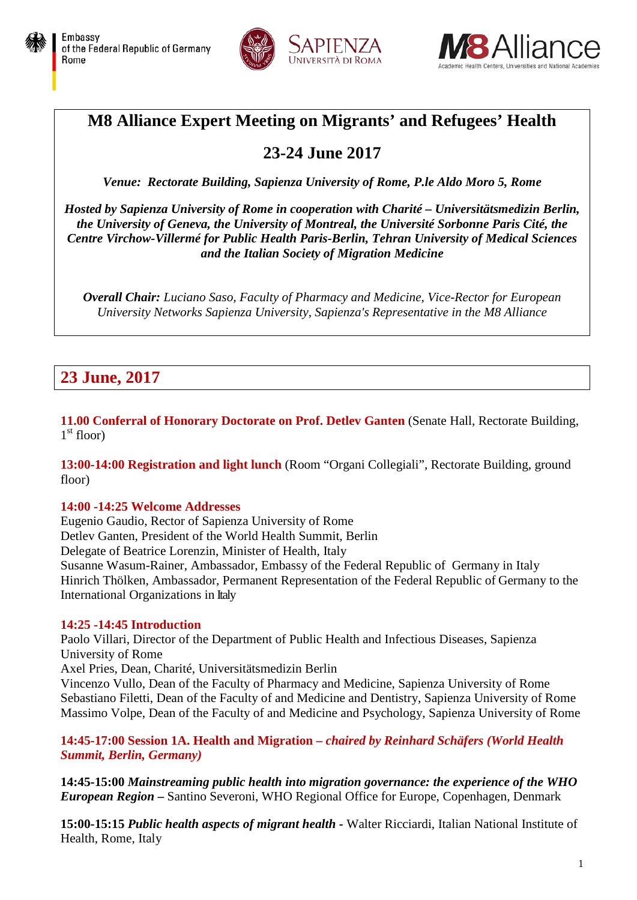





# **M8 Alliance Expert Meeting on Migrants' and Refugees' Health**

# **23-24 June 2017**

*Venue: Rectorate Building, Sapienza University of Rome, P.le Aldo Moro 5, Rome*

*Hosted by Sapienza University of Rome in cooperation with Charité – Universitätsmedizin Berlin, the University of Geneva, the University of Montreal, the Université Sorbonne Paris Cité, the Centre Virchow-Villermé for Public Health Paris-Berlin, Tehran University of Medical Sciences and the Italian Society of Migration Medicine*

*Overall Chair: Luciano Saso, Faculty of Pharmacy and Medicine, Vice-Rector for European University Networks Sapienza University, Sapienza's Representative in the M8 Alliance*

# **23 June, 2017**

11.00 **Conferral of Honorary Doctorate on Prof. Detlev Ganten** (Senate Hall, Rectorate Building,  $1<sup>st</sup>$  floor)

**13:00-14:00 Registration and light lunch** (Room "Organi Collegiali", Rectorate Building, ground floor)

### **14:00 -14:25 Welcome Addresses**

Eugenio Gaudio, Rector of Sapienza University of Rome Detlev Ganten, President of the World Health Summit, Berlin Delegate of Beatrice Lorenzin, Minister of Health, Italy Susanne Wasum-Rainer, Ambassador, Embassy of the Federal Republic of Germany in Italy Hinrich Thölken, Ambassador, Permanent Representation of the Federal Republic of Germany to the International Organizations in Italy

### **14:25 -14:45 Introduction**

Paolo Villari, Director of the Department of Public Health and Infectious Diseases, Sapienza University of Rome

Axel Pries, Dean, Charité, Universitätsmedizin Berlin

Vincenzo Vullo, Dean of the Faculty of Pharmacy and Medicine, Sapienza University of Rome Sebastiano Filetti, Dean of the Faculty of and Medicine and Dentistry, Sapienza University of Rome Massimo Volpe, Dean of the Faculty of and Medicine and Psychology, Sapienza University of Rome

#### **14:45-17:00 Session 1A. Health and Migration –** *chaired by Reinhard Schäfers (World Health Summit, Berlin, Germany)*

**14:45-15:00** *Mainstreaming public health into migration governance: the experience of the WHO European Region –* Santino Severoni, WHO Regional Office for Europe, Copenhagen, Denmark

**15:00-15:15** *Public health aspects of migrant health -* Walter Ricciardi, Italian National Institute of Health, Rome, Italy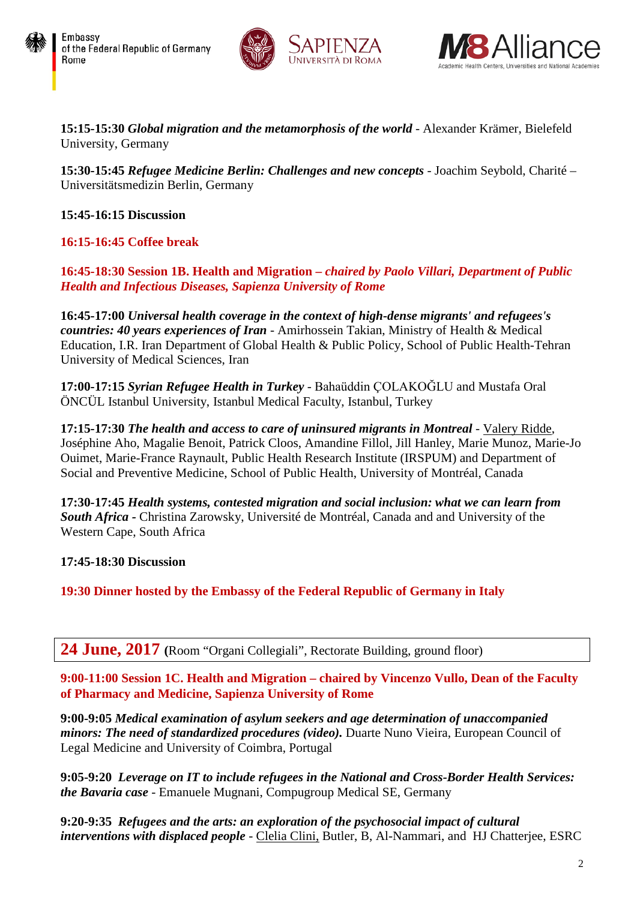





**15:15-15:30** *Global migration and the metamorphosis of the world* - Alexander Krämer, Bielefeld University, Germany

**15:30-15:45** *Refugee Medicine Berlin: Challenges and new concepts* - Joachim Seybold, Charité – Universitätsmedizin Berlin, Germany

**15:45-16:15 Discussion**

## **16:15-16:45 Coffee break**

**16:45-18:30 Session 1B. Health and Migration –** *chaired by Paolo Villari, Department of Public Health and Infectious Diseases, Sapienza University of Rome*

**16:45-17:00** *Universal health coverage in the context of high-dense migrants' and refugees's countries: 40 years experiences of Iran* - Amirhossein Takian, Ministry of Health & Medical Education, I.R. Iran Department of Global Health & Public Policy, School of Public Health-Tehran University of Medical Sciences, Iran

**17:00-17:15** *Syrian Refugee Health in Turkey* - Bahaüddin ÇOLAKOĞLU and Mustafa Oral ÖNCÜL Istanbul University, Istanbul Medical Faculty, Istanbul, Turkey

**17:15-17:30** *The health and access to care of uninsured migrants in Montreal* - Valery Ridde, Joséphine Aho, Magalie Benoit, Patrick Cloos, Amandine Fillol, Jill Hanley, Marie Munoz, Marie-Jo Ouimet, Marie-France Raynault, Public Health Research Institute (IRSPUM) and Department of Social and Preventive Medicine, School of Public Health, University of Montréal, Canada

**17:30-17:45** *Health systems, contested migration and social inclusion: what we can learn from South Africa -* Christina Zarowsky, Université de Montréal, Canada and and University of the Western Cape, South Africa

**17:45-18:30 Discussion**

**19:30 Dinner hosted by the Embassy of the Federal Republic of Germany in Italy**

## **24 June, 2017 (**Room "Organi Collegiali", Rectorate Building, ground floor)

**9:00-11:00 Session 1C. Health and Migration – chaired by Vincenzo Vullo, Dean of the Faculty of Pharmacy and Medicine, Sapienza University of Rome** 

**9:00-9:05** *Medical examination of asylum seekers and age determination of unaccompanied minors: The need of standardized procedures (video).* Duarte Nuno Vieira, European Council of Legal Medicine and University of Coimbra, Portugal

**9:05-9:20** *Leverage on IT to include refugees in the National and Cross-Border Health Services: the Bavaria case -* Emanuele Mugnani, Compugroup Medical SE, Germany

**9:20-9:35** *Refugees and the arts: an exploration of the psychosocial impact of cultural interventions with displaced people* - Clelia Clini, Butler, B, Al-Nammari, and HJ Chatterjee, ESRC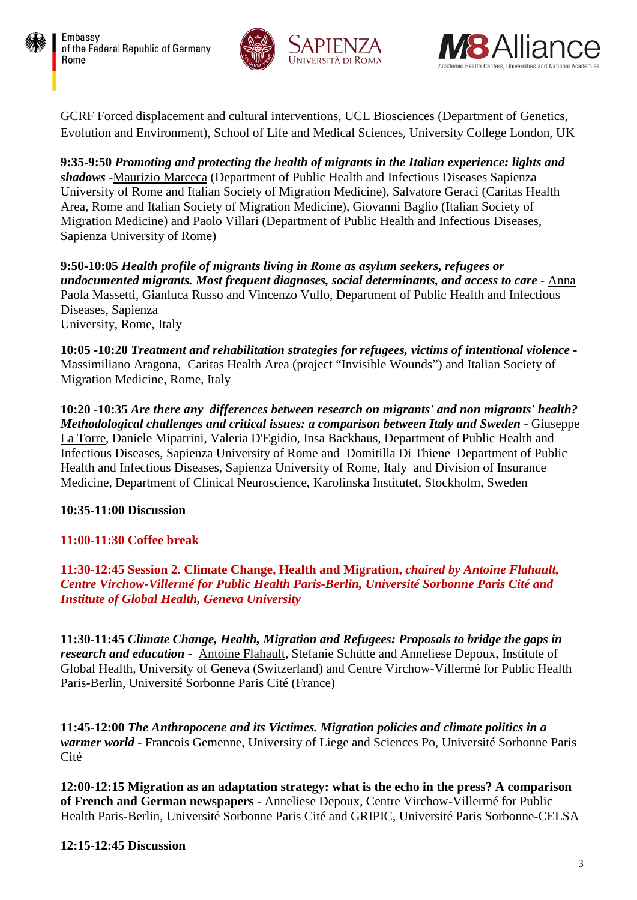





GCRF Forced displacement and cultural interventions, UCL Biosciences (Department of Genetics, Evolution and Environment), School of Life and Medical Sciences, University College London, UK

**9:35-9:50** *Promoting and protecting the health of migrants in the Italian experience: lights and shadows* -Maurizio Marceca (Department of Public Health and Infectious Diseases Sapienza University of Rome and Italian Society of Migration Medicine), Salvatore Geraci (Caritas Health Area, Rome and Italian Society of Migration Medicine), Giovanni Baglio (Italian Society of Migration Medicine) and Paolo Villari (Department of Public Health and Infectious Diseases, Sapienza University of Rome)

**9:50-10:05** *Health profile of migrants living in Rome as asylum seekers, refugees or undocumented migrants. Most frequent diagnoses, social determinants, and access to care* - Anna Paola Massetti, Gianluca Russo and Vincenzo Vullo, Department of Public Health and Infectious Diseases, Sapienza University, Rome, Italy

**10:05 -10:20** *Treatment and rehabilitation strategies for refugees, victims of intentional violence* **-** Massimiliano Aragona, Caritas Health Area (project "Invisible Wounds") and Italian Society of Migration Medicine, Rome, Italy

**10:20 -10:35** *Are there any differences between research on migrants' and non migrants' health? Methodological challenges and critical issues: a comparison between Italy and Sweden* - Giuseppe La Torre, Daniele Mipatrini, Valeria D'Egidio, Insa Backhaus, Department of Public Health and Infectious Diseases, Sapienza University of Rome and Domitilla Di Thiene Department of Public Health and Infectious Diseases, Sapienza University of Rome, Italy and Division of Insurance Medicine, Department of Clinical Neuroscience, Karolinska Institutet, Stockholm, Sweden

## **10:35-11:00 Discussion**

## **11:00-11:30 Coffee break**

**11:30-12:45 Session 2. Climate Change, Health and Migration,** *chaired by Antoine Flahault, Centre Virchow-Villermé for Public Health Paris-Berlin, Université Sorbonne Paris Cité and Institute of Global Health, Geneva University*

**11:30-11:45** *Climate Change, Health, Migration and Refugees: Proposals to bridge the gaps in research and education* **-** Antoine Flahault, Stefanie Schütte and Anneliese Depoux, Institute of Global Health, University of Geneva (Switzerland) and Centre Virchow-Villermé for Public Health Paris-Berlin, Université Sorbonne Paris Cité (France)

**11:45-12:00** *The Anthropocene and its Victimes. Migration policies and climate politics in a warmer world* - Francois Gemenne, University of Liege and Sciences Po, Université Sorbonne Paris Cité

**12:00-12:15 Migration as an adaptation strategy: what is the echo in the press? A comparison of French and German newspapers** - Anneliese Depoux, Centre Virchow-Villermé for Public Health Paris-Berlin, Université Sorbonne Paris Cité and GRIPIC, Université Paris Sorbonne-CELSA

### **12:15-12:45 Discussion**